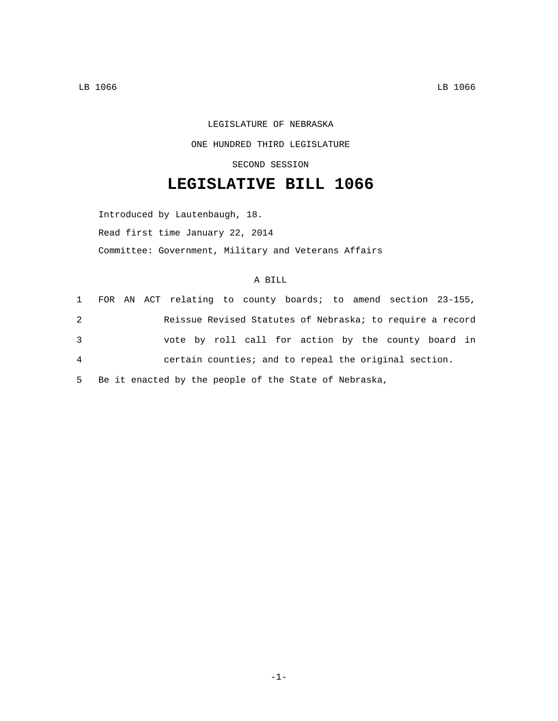## LEGISLATURE OF NEBRASKA ONE HUNDRED THIRD LEGISLATURE SECOND SESSION

## **LEGISLATIVE BILL 1066**

Introduced by Lautenbaugh, 18. Read first time January 22, 2014 Committee: Government, Military and Veterans Affairs

## A BILL

|                |  |  |  |  |  | 1 FOR AN ACT relating to county boards; to amend section 23-155, |  |
|----------------|--|--|--|--|--|------------------------------------------------------------------|--|
| 2              |  |  |  |  |  | Reissue Revised Statutes of Nebraska; to require a record        |  |
| $\mathbf{3}$   |  |  |  |  |  | vote by roll call for action by the county board in              |  |
| $\overline{4}$ |  |  |  |  |  | certain counties; and to repeal the original section.            |  |
|                |  |  |  |  |  |                                                                  |  |

5 Be it enacted by the people of the State of Nebraska,